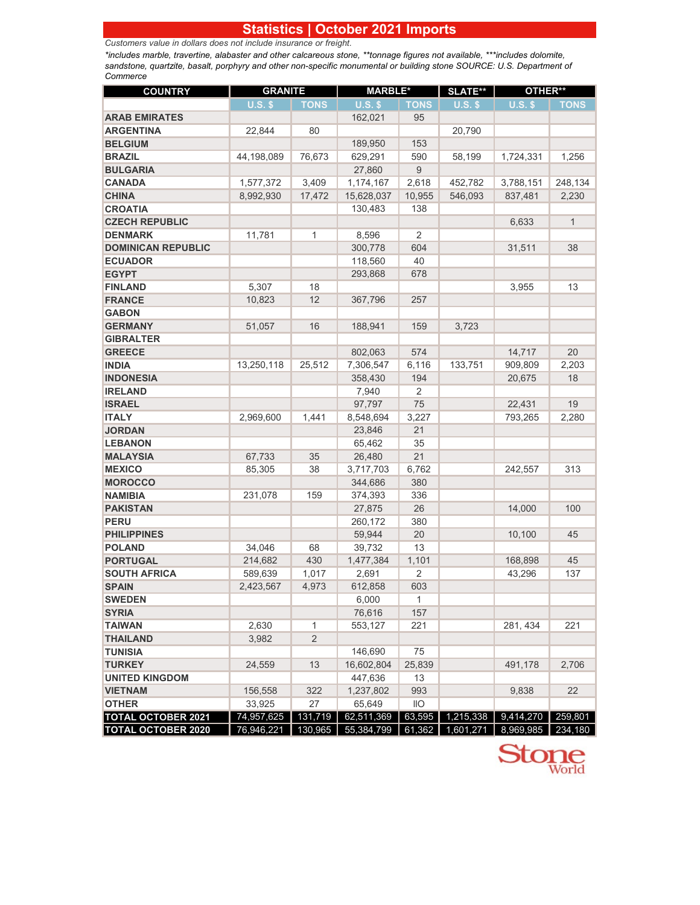## **Statistics | October 2021 Imports**

*Customers value in dollars does not include insurance or freight.*

*\*includes marble, travertine, alabaster and other calcareous stone, \*\*tonnage figures not available, \*\*\*includes dolomite, sandstone, quartzite, basalt, porphyry and other non-specific monumental or building stone SOURCE: U.S. Department of Commerce*

| <b>COUNTRY</b>            | <b>GRANITE</b> |                | <b>MARBLE*</b> |                 | <b>SLATE**</b> | OTHER**   |              |
|---------------------------|----------------|----------------|----------------|-----------------|----------------|-----------|--------------|
|                           | $U.S.$ \$      | <b>TONS</b>    | $U.S.$ \$      | <b>TONS</b>     | $U.S.$ \$      | $U.S.$ \$ | <b>TONS</b>  |
| <b>ARAB EMIRATES</b>      |                |                | 162,021        | 95              |                |           |              |
| <b>ARGENTINA</b>          | 22,844         | 80             |                |                 | 20,790         |           |              |
| <b>BELGIUM</b>            |                |                | 189,950        | 153             |                |           |              |
| <b>BRAZIL</b>             | 44,198,089     | 76,673         | 629,291        | 590             | 58,199         | 1,724,331 | 1,256        |
| <b>BULGARIA</b>           |                |                | 27,860         | 9               |                |           |              |
| <b>CANADA</b>             | 1,577,372      | 3,409          | 1,174,167      | 2,618           | 452,782        | 3,788,151 | 248,134      |
| <b>CHINA</b>              | 8,992,930      | 17,472         | 15,628,037     | 10,955          | 546,093        | 837,481   | 2,230        |
| <b>CROATIA</b>            |                |                | 130,483        | 138             |                |           |              |
| <b>CZECH REPUBLIC</b>     |                |                |                |                 |                | 6,633     | $\mathbf{1}$ |
| <b>DENMARK</b>            | 11,781         | 1              | 8,596          | 2               |                |           |              |
| <b>DOMINICAN REPUBLIC</b> |                |                | 300,778        | 604             |                | 31,511    | 38           |
| <b>ECUADOR</b>            |                |                | 118,560        | 40              |                |           |              |
| <b>EGYPT</b>              |                |                | 293,868        | 678             |                |           |              |
| <b>FINLAND</b>            | 5,307          | 18             |                |                 |                | 3,955     | 13           |
| <b>FRANCE</b>             | 10,823         | 12             | 367,796        | 257             |                |           |              |
| <b>GABON</b>              |                |                |                |                 |                |           |              |
| <b>GERMANY</b>            | 51,057         | 16             | 188,941        | 159             | 3,723          |           |              |
| <b>GIBRALTER</b>          |                |                |                |                 |                |           |              |
| <b>GREECE</b>             |                |                | 802,063        | 574             |                | 14,717    | 20           |
| <b>INDIA</b>              | 13,250,118     | 25,512         | 7,306,547      | 6,116           | 133,751        | 909,809   | 2,203        |
| <b>INDONESIA</b>          |                |                | 358,430        | 194             |                | 20,675    | 18           |
| <b>IRELAND</b>            |                |                | 7,940          | 2               |                |           |              |
| <b>ISRAEL</b>             |                |                | 97.797         | 75              |                | 22,431    | 19           |
| <b>ITALY</b>              | 2,969,600      | 1,441          | 8,548,694      | 3,227           |                | 793,265   | 2,280        |
| <b>JORDAN</b>             |                |                | 23,846         | 21              |                |           |              |
| <b>LEBANON</b>            |                |                | 65,462         | 35              |                |           |              |
| <b>MALAYSIA</b>           | 67,733         | 35             | 26,480         | 21              |                |           |              |
| <b>MEXICO</b>             | 85,305         | 38             | 3,717,703      | 6,762           |                | 242,557   | 313          |
| <b>MOROCCO</b>            |                |                | 344,686        | 380             |                |           |              |
| <b>NAMIBIA</b>            | 231,078        | 159            | 374,393        | 336             |                |           |              |
| <b>PAKISTAN</b>           |                |                | 27,875         | 26              |                | 14,000    | 100          |
| <b>PERU</b>               |                |                | 260,172        | 380             |                |           |              |
| <b>PHILIPPINES</b>        |                |                | 59,944         | 20              |                | 10,100    | 45           |
| <b>POLAND</b>             | 34,046         | 68             | 39,732         | 13              |                |           |              |
| <b>PORTUGAL</b>           | 214,682        | 430            | 1,477,384      | 1,101           |                | 168,898   | 45           |
| <b>SOUTH AFRICA</b>       | 589,639        | 1,017          | 2,691          | $\overline{2}$  |                | 43,296    | 137          |
| <b>SPAIN</b>              | 2,423,567      | 4,973          | 612,858        | 603             |                |           |              |
| <b>SWEDEN</b>             |                |                | 6,000          | 1               |                |           |              |
| <b>SYRIA</b>              |                |                | 76,616         | 157             |                |           |              |
| <b>TAIWAN</b>             | 2,630          | 1              | 553,127        | 221             |                | 281, 434  | 221          |
| <b>THAILAND</b>           | 3,982          | $\overline{2}$ |                |                 |                |           |              |
| <b>TUNISIA</b>            |                |                | 146,690        | 75              |                |           |              |
| <b>TURKEY</b>             | 24,559         | 13             | 16,602,804     | 25,839          |                | 491,178   | 2,706        |
| <b>UNITED KINGDOM</b>     |                |                | 447,636        | 13              |                |           |              |
| <b>VIETNAM</b>            | 156,558        | 322            | 1,237,802      | 993             |                | 9,838     | 22           |
| <b>OTHER</b>              | 33,925         | 27             | 65,649         | $\overline{11}$ |                |           |              |
| <b>TOTAL OCTOBER 2021</b> | 74,957,625     | 131,719        | 62,511,369     | 63,595          | 1,215,338      | 9,414,270 | 259,801      |
| <b>TOTAL OCTOBER 2020</b> | 76,946,221     | 130,965        | 55,384,799     | 61,362          | 1,601,271      | 8,969,985 | 234,180      |